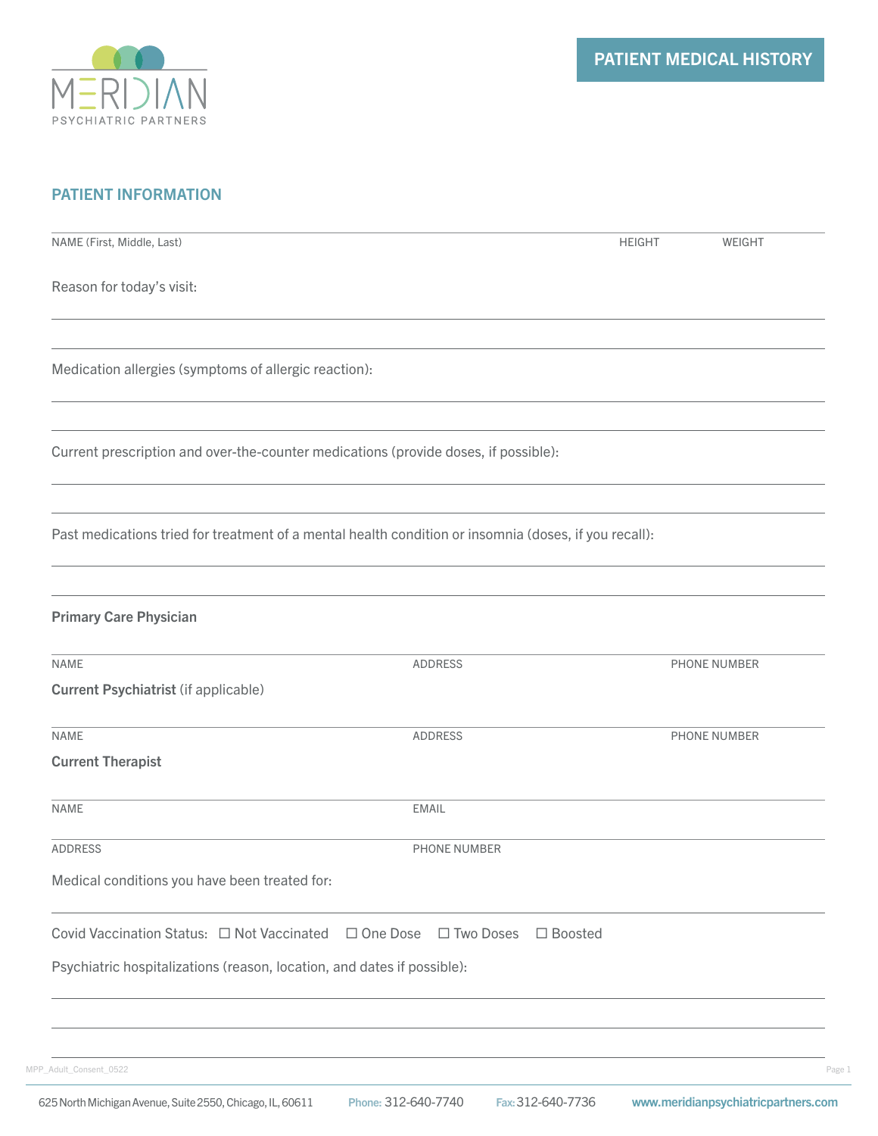

# PATIENT INFORMATION

| NAME (First, Middle, Last)                                                                            |                | <b>HEIGHT</b>  | WEIGHT       |
|-------------------------------------------------------------------------------------------------------|----------------|----------------|--------------|
| Reason for today's visit:                                                                             |                |                |              |
| Medication allergies (symptoms of allergic reaction):                                                 |                |                |              |
| Current prescription and over-the-counter medications (provide doses, if possible):                   |                |                |              |
| Past medications tried for treatment of a mental health condition or insomnia (doses, if you recall): |                |                |              |
| <b>Primary Care Physician</b>                                                                         |                |                |              |
| <b>NAME</b><br><b>Current Psychiatrist (if applicable)</b>                                            | <b>ADDRESS</b> |                | PHONE NUMBER |
| <b>NAME</b><br><b>Current Therapist</b>                                                               | <b>ADDRESS</b> |                | PHONE NUMBER |
| <b>NAME</b>                                                                                           | <b>EMAIL</b>   |                |              |
| ADDRESS                                                                                               | PHONE NUMBER   |                |              |
| Medical conditions you have been treated for:                                                         |                |                |              |
| Covid Vaccination Status: □ Not Vaccinated □ One Dose □ Two Doses                                     |                | $\Box$ Boosted |              |
| Psychiatric hospitalizations (reason, location, and dates if possible):                               |                |                |              |
|                                                                                                       |                |                |              |
| MPP_Adult_Consent_0522                                                                                |                |                |              |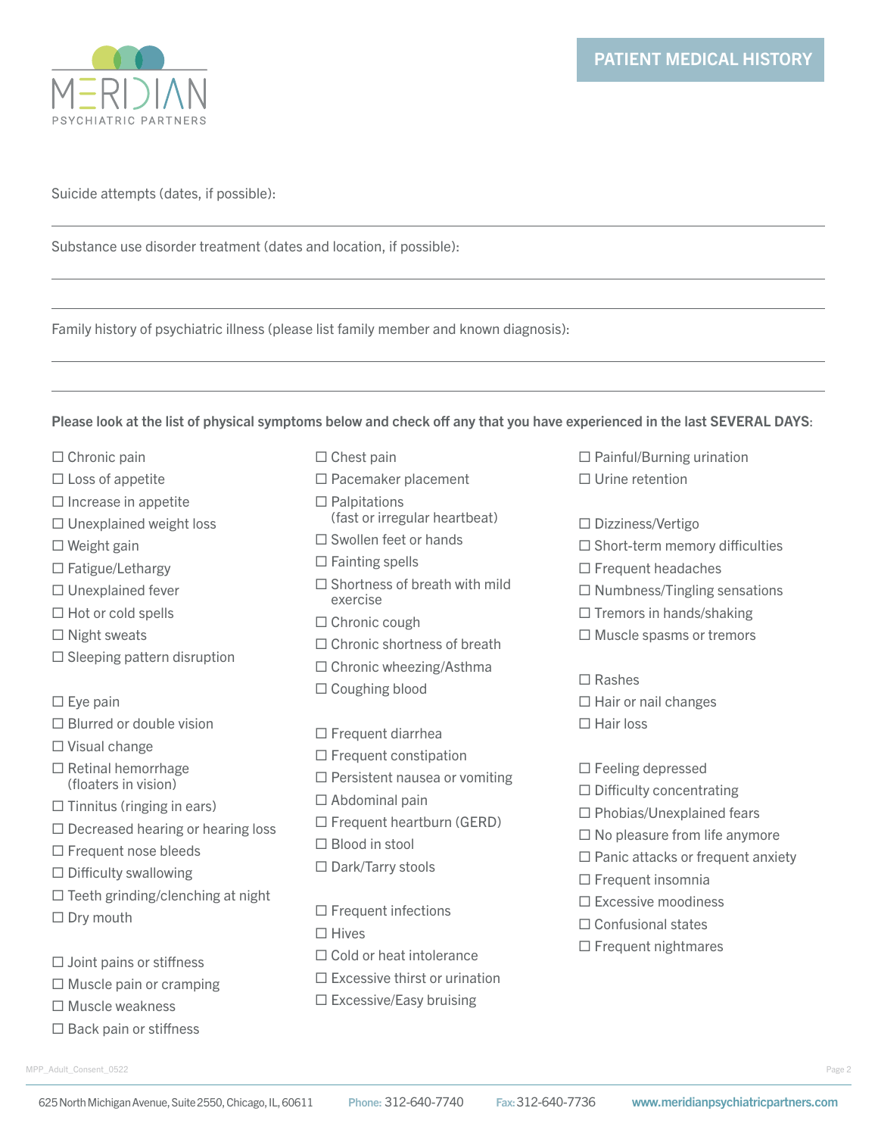

### Suicide attempts (dates, if possible):

Substance use disorder treatment (dates and location, if possible):

Family history of psychiatric illness (please list family member and known diagnosis):

#### Please look at the list of physical symptoms below and check off any that you have experienced in the last SEVERAL DAYS:

- $\Box$  Chronic pain
- $\Box$  Loss of appetite
- $\Box$  Increase in appetite
- $\Box$  Unexplained weight loss
- $\square$  Weight gain
- $\Box$  Fatigue/Lethargy
- $\square$  Unexplained fever
- $\Box$  Hot or cold spells
- $\Box$  Night sweats
- $\square$  Sleeping pattern disruption
- $\square$  Eye pain
- $\Box$  Blurred or double vision
- □ Visual change
- $\Box$  Retinal hemorrhage (floaters in vision)
- $\Box$  Tinnitus (ringing in ears)
- $\Box$  Decreased hearing or hearing loss
- □ Frequent nose bleeds
- $\square$  Difficulty swallowing
- $\Box$  Teeth grinding/clenching at night
- $\square$  Dry mouth
- $\Box$  Joint pains or stiffness
- $\Box$  Muscle pain or cramping
- □ Muscle weakness
- $\Box$  Back pain or stiffness
- MPP\_Adult\_Consent\_0522 Page 2
- $\Box$  Chest pain
- □ Pacemaker placement
- $\Box$  Palpitations (fast or irregular heartbeat)
- $\square$  Swollen feet or hands
- $\Box$  Fainting spells
- $\square$  Shortness of breath with mild exercise
- □ Chronic cough
- □ Chronic shortness of breath
- $\Box$  Chronic wheezing/Asthma
- □ Coughing blood
- $\Box$  Frequent diarrhea
- $\Box$  Frequent constipation
- $\Box$  Persistent nausea or vomiting
- $\Box$  Abdominal pain
- $\Box$  Frequent heartburn (GERD)
- □ Blood in stool
- □ Dark/Tarry stools
- $\square$  Frequent infections  $\Box$  Hives □ Cold or heat intolerance  $\square$  Excessive thirst or urination  $\square$  Excessive/Easy bruising
- $\Box$  Painful/Burning urination Urine retention
- 
- □ Dizziness/Vertigo
- $\square$  Short-term memory difficulties
- $\square$  Frequent headaches
- $\Box$  Numbness/Tingling sensations
- $\Box$  Tremors in hands/shaking
- $\Box$  Muscle spasms or tremors
- $\Box$  Rashes
- $\Box$  Hair or nail changes
- $\Box$  Hair loss

 $\Box$  Feeling depressed  $\Box$  Difficulty concentrating  $\square$  Phobias/Unexplained fears  $\square$  No pleasure from life anymore  $\Box$  Panic attacks or frequent anxiety  $\Box$  Frequent insomnia  $\square$  Excessive moodiness □ Confusional states

 $\Box$  Frequent nightmares